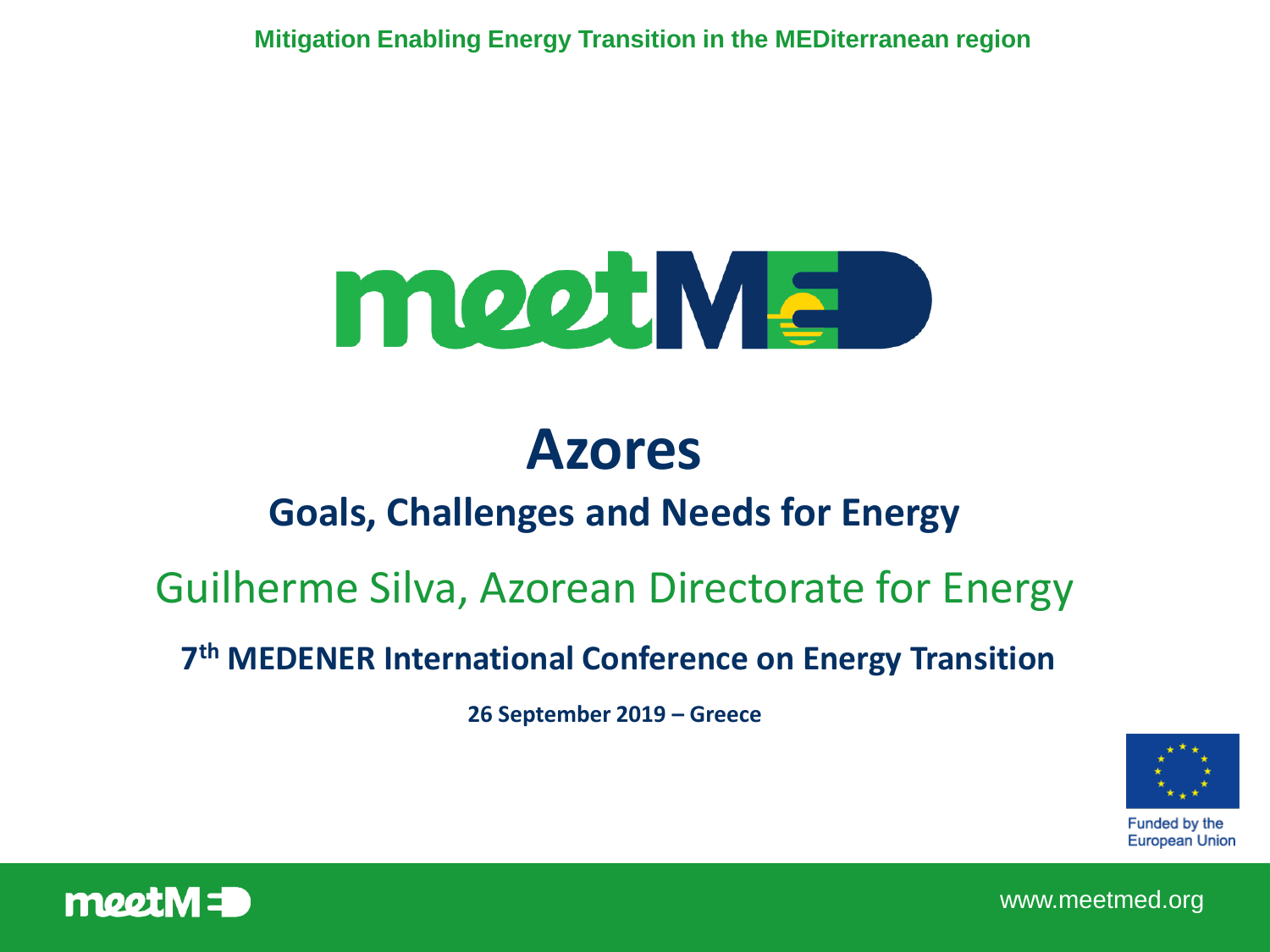**Mitigation Enabling Energy Transition in the MEDiterranean region** 



# **Azores**

#### **Goals, Challenges and Needs for Energy**

#### Guilherme Silva, Azorean Directorate for Energy

#### **7 th MEDENER International Conference on Energy Transition**

**26 September 2019 – Greece**



**Funded by the European Union** 



www.meetmed.org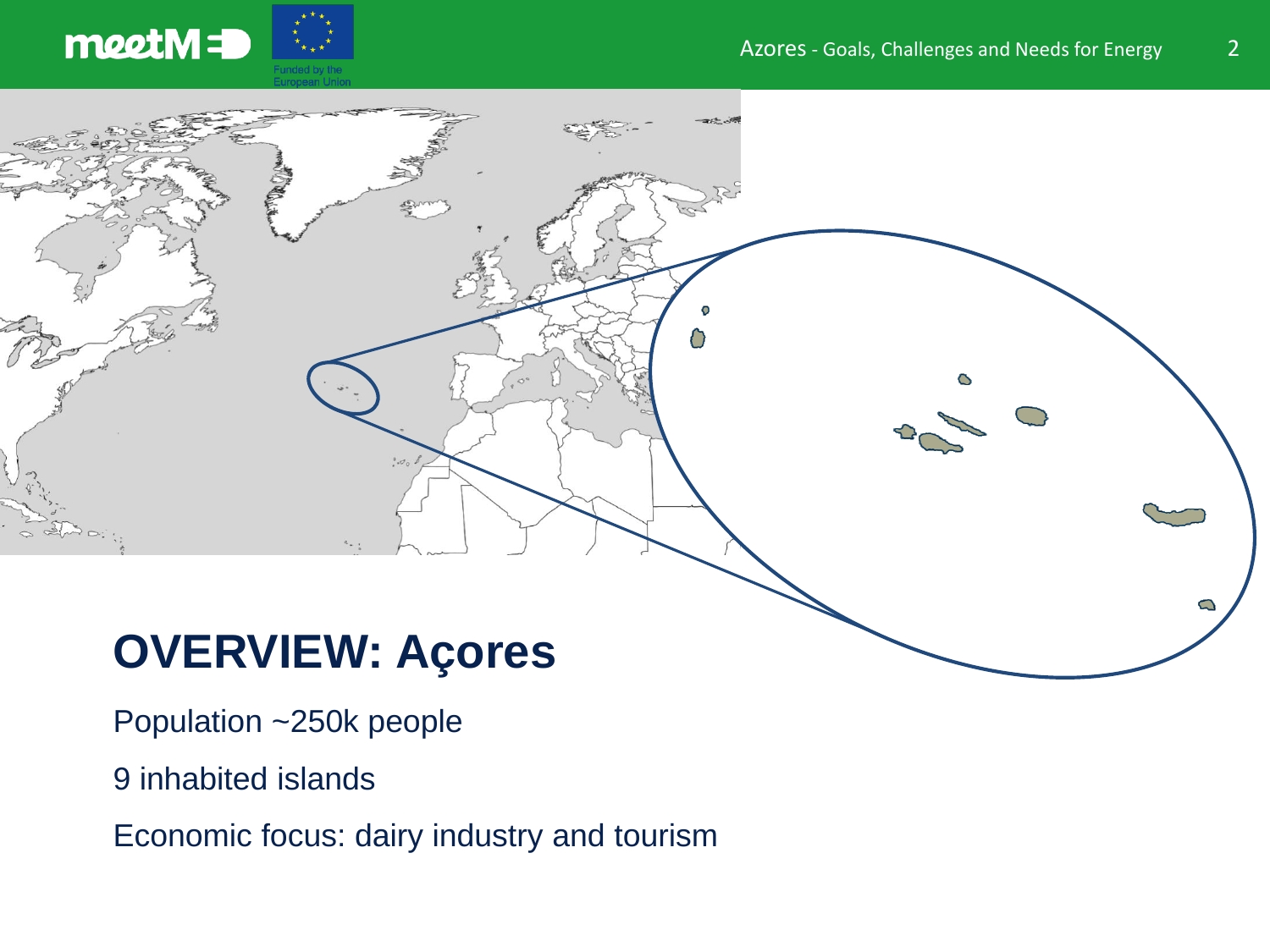

# **OVERVIEW: Açores**

- Population ~250k people
- 9 inhabited islands
- Economic focus: dairy industry and tourism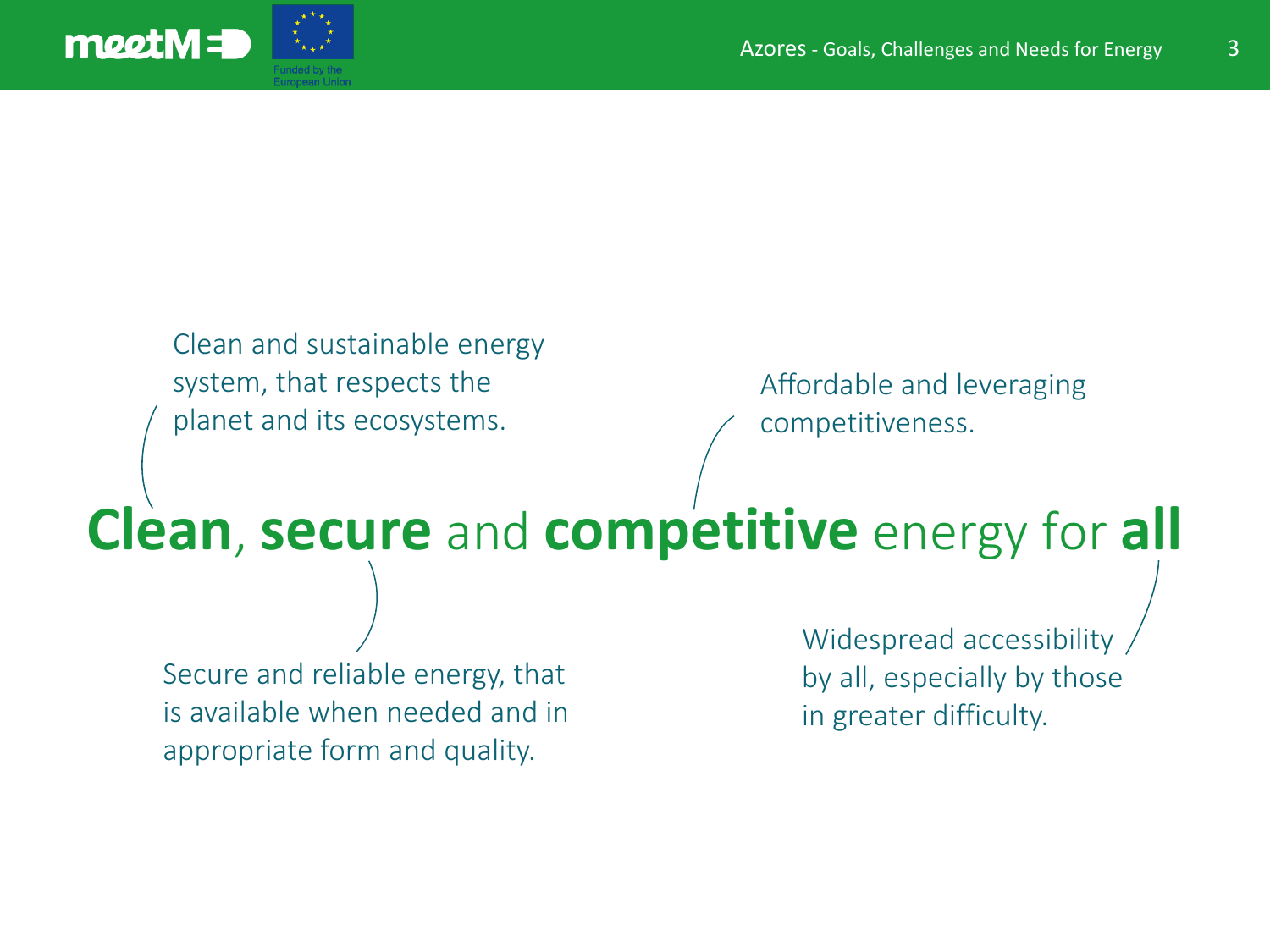

Clean and sustainable energy system, that respects the planet and its ecosystems.

Affordable and leveraging competitiveness.

# **Clean**, **secure** and **competitive** energy for **all**

Secure and reliable energy, that is available when needed and in appropriate form and quality.

Widespread accessibility by all, especially by those in greater difficulty.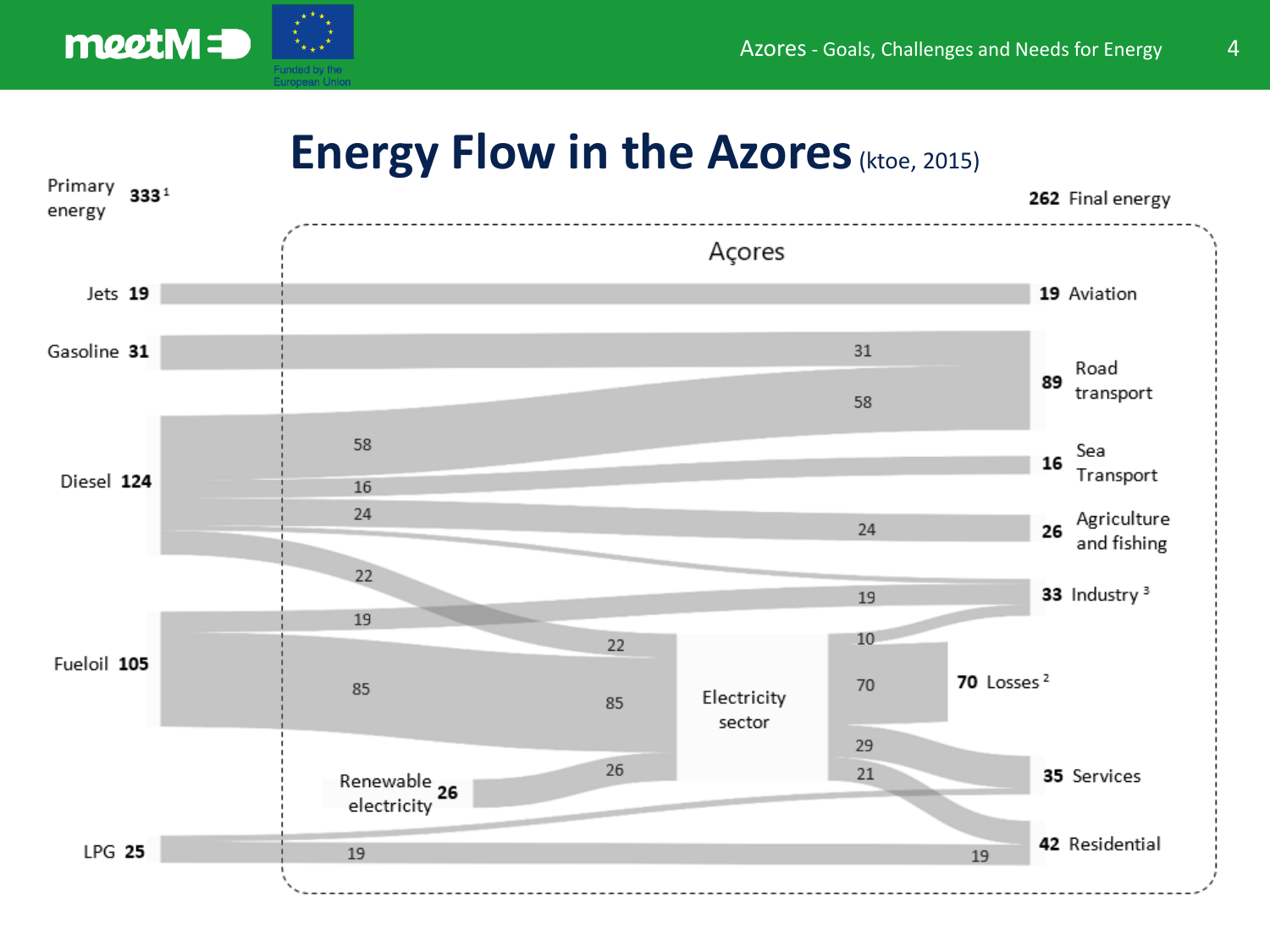

#### **Energy Flow in the Azores**(ktoe, 2015)

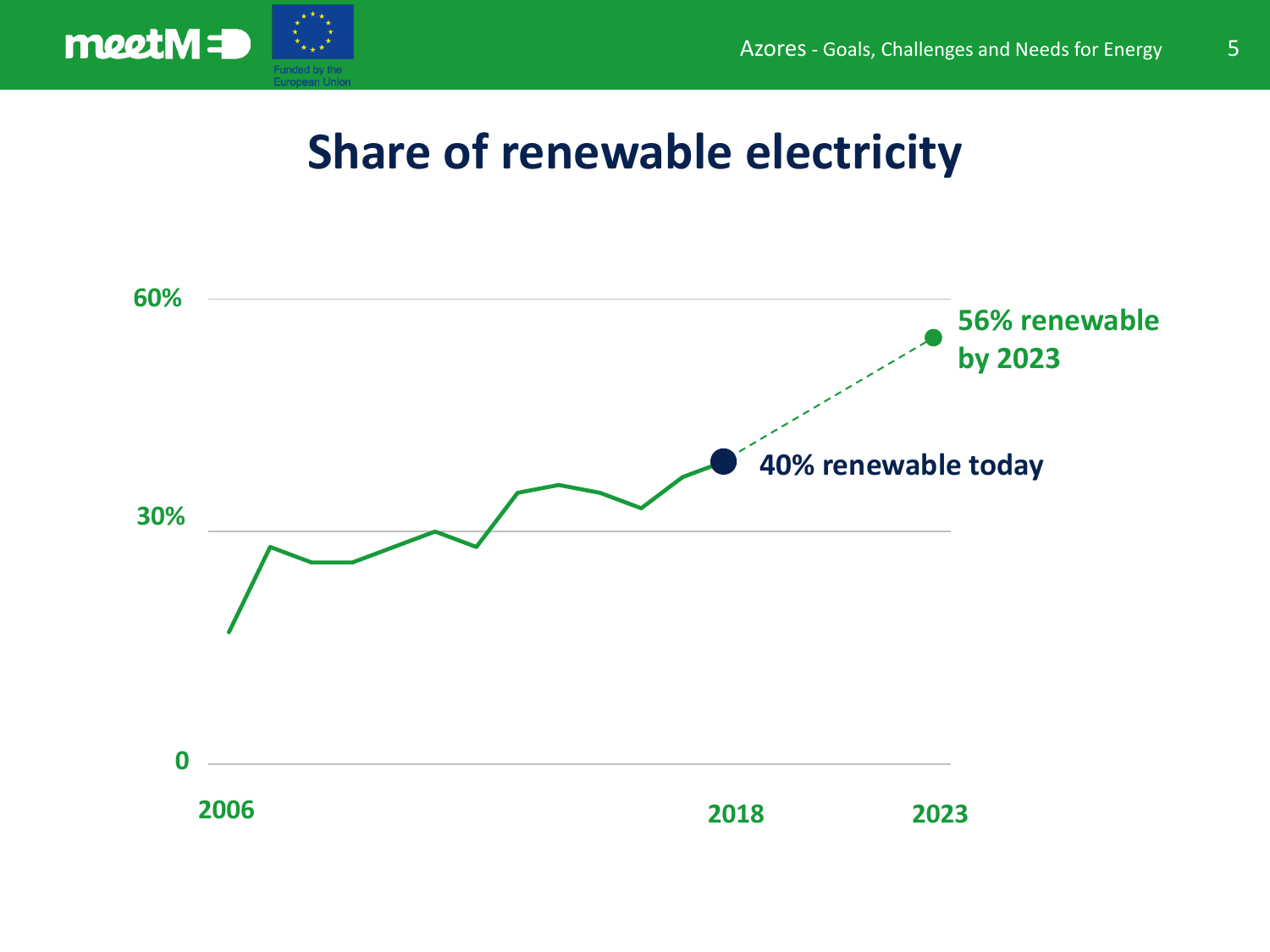



### **Share of renewable electricity**

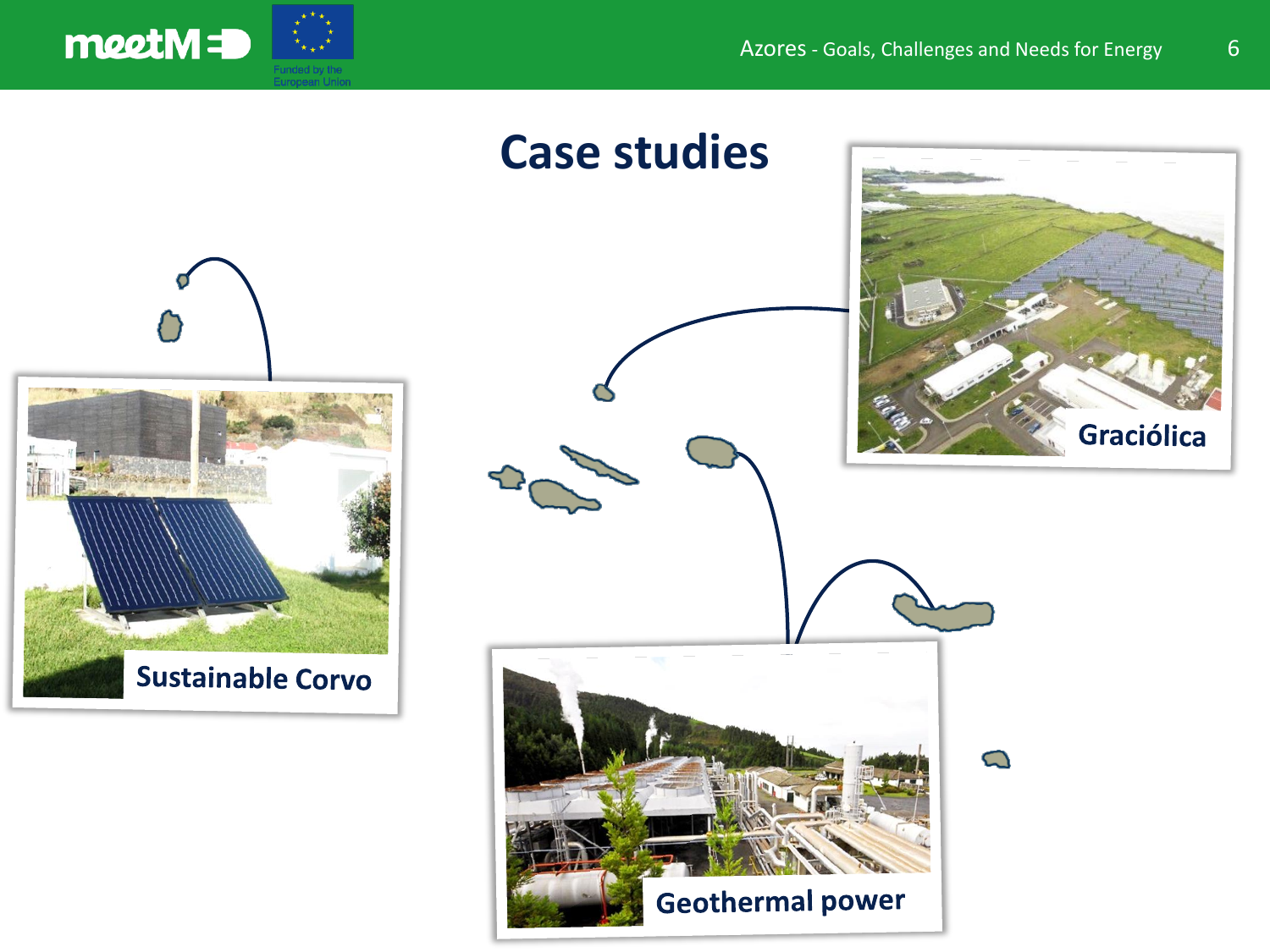

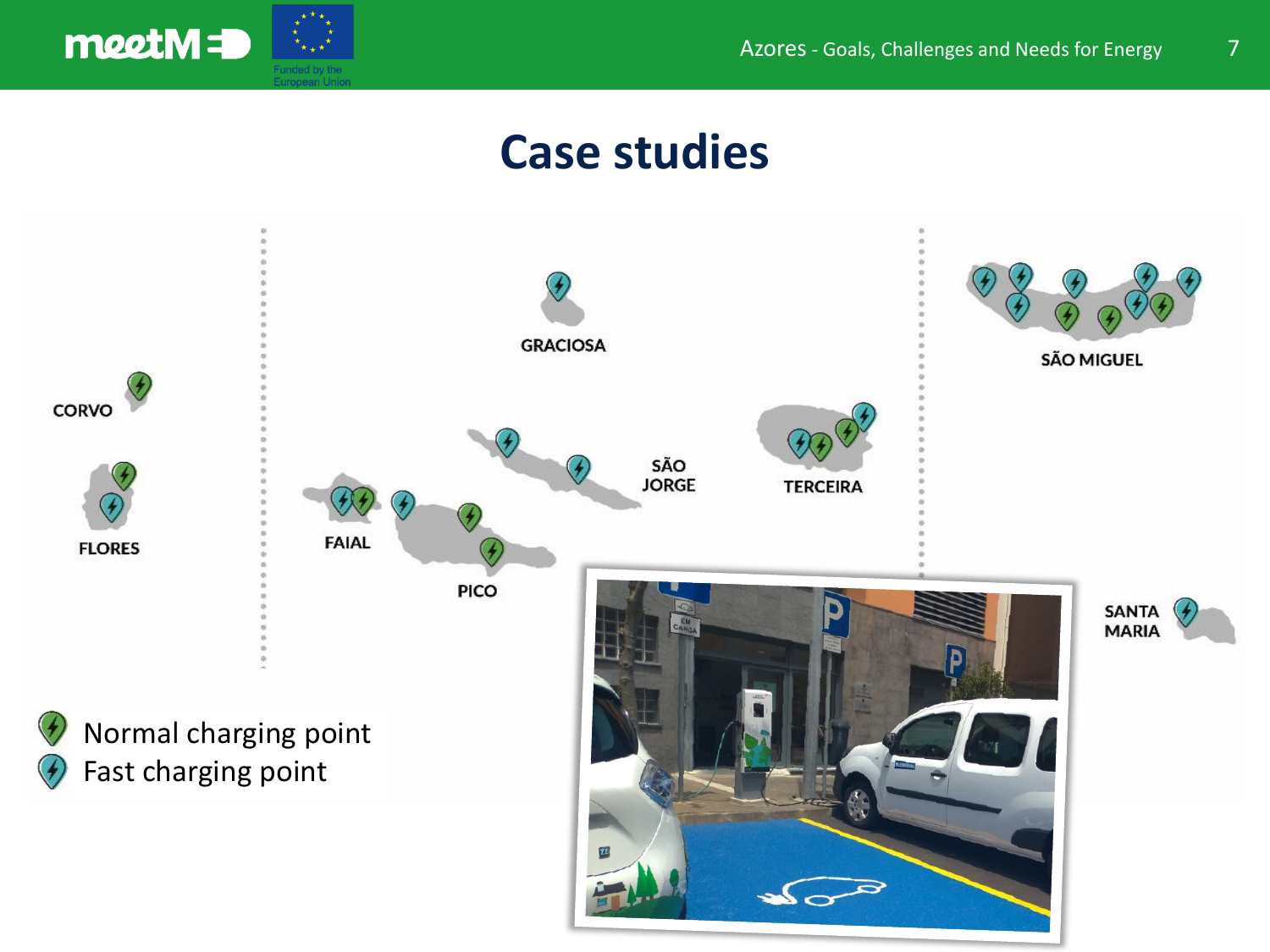





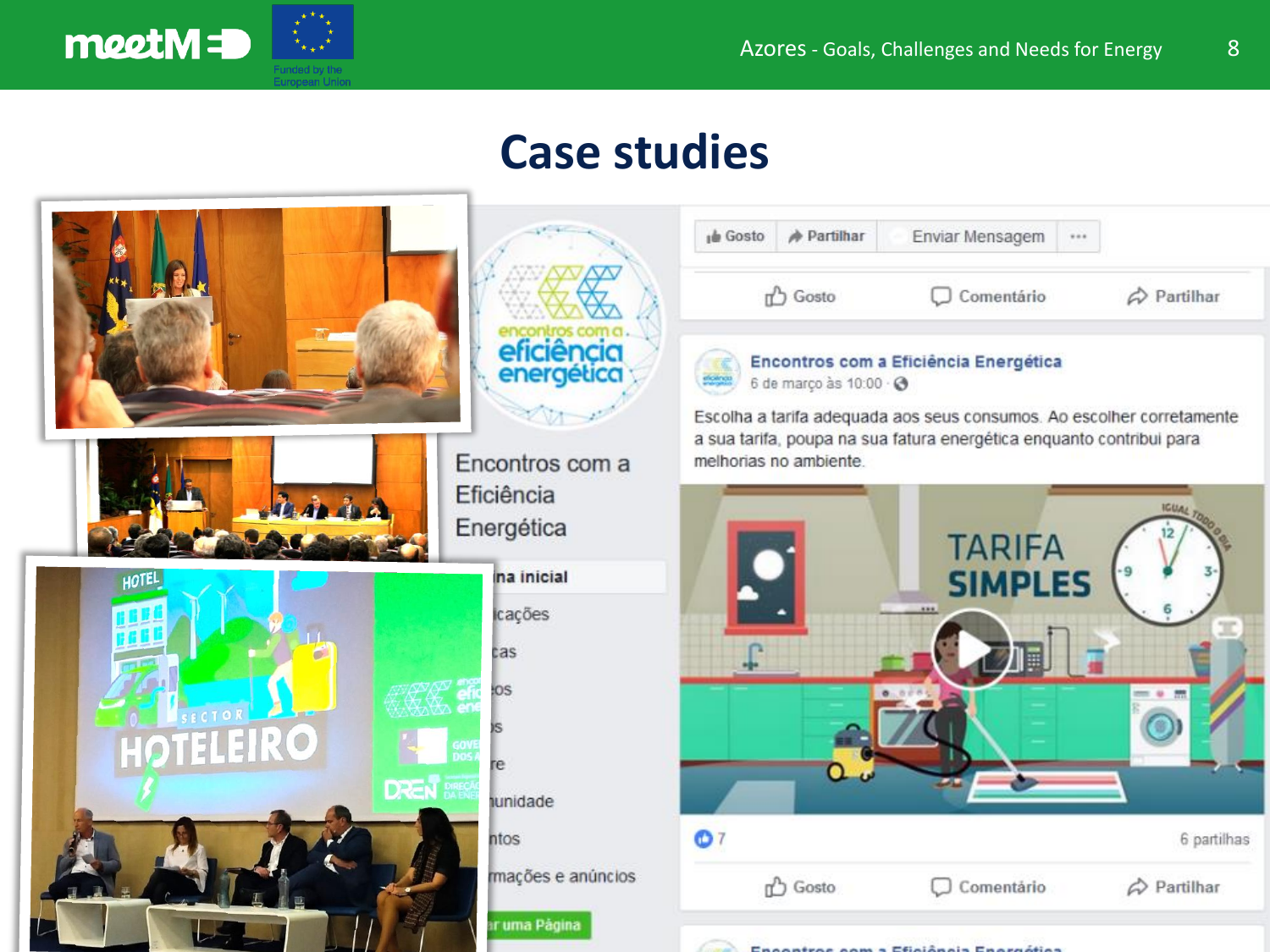

## **Case studies**